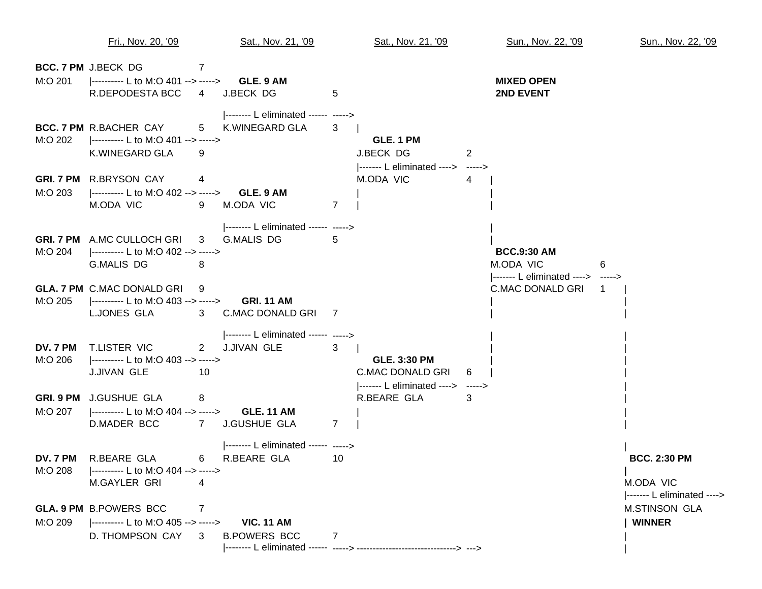